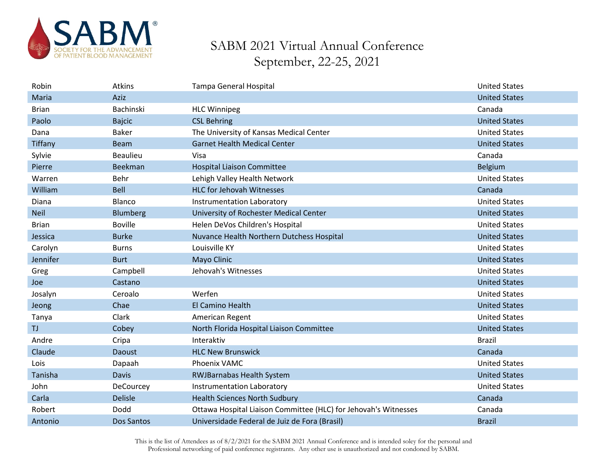

| Robin          | Atkins            | <b>Tampa General Hospital</b>                                   | <b>United States</b> |
|----------------|-------------------|-----------------------------------------------------------------|----------------------|
| Maria          | Aziz              |                                                                 | <b>United States</b> |
| <b>Brian</b>   | Bachinski         | <b>HLC Winnipeg</b>                                             | Canada               |
| Paolo          | <b>Bajcic</b>     | <b>CSL Behring</b>                                              | <b>United States</b> |
| Dana           | <b>Baker</b>      | The University of Kansas Medical Center                         | <b>United States</b> |
| <b>Tiffany</b> | <b>Beam</b>       | <b>Garnet Health Medical Center</b>                             | <b>United States</b> |
| Sylvie         | <b>Beaulieu</b>   | Visa                                                            | Canada               |
| Pierre         | Beekman           | <b>Hospital Liaison Committee</b>                               | <b>Belgium</b>       |
| Warren         | Behr              | Lehigh Valley Health Network                                    | <b>United States</b> |
| William        | Bell              | <b>HLC for Jehovah Witnesses</b>                                | Canada               |
| Diana          | Blanco            | Instrumentation Laboratory                                      | <b>United States</b> |
| <b>Neil</b>    | Blumberg          | University of Rochester Medical Center                          | <b>United States</b> |
| <b>Brian</b>   | <b>Boville</b>    | Helen DeVos Children's Hospital                                 | <b>United States</b> |
| Jessica        | <b>Burke</b>      | Nuvance Health Northern Dutchess Hospital                       | <b>United States</b> |
| Carolyn        | <b>Burns</b>      | Louisville KY                                                   | <b>United States</b> |
| Jennifer       | <b>Burt</b>       | Mayo Clinic                                                     | <b>United States</b> |
| Greg           | Campbell          | Jehovah's Witnesses                                             | <b>United States</b> |
| Joe            | Castano           |                                                                 | <b>United States</b> |
| Josalyn        | Ceroalo           | Werfen                                                          | <b>United States</b> |
| Jeong          | Chae              | El Camino Health                                                | <b>United States</b> |
| Tanya          | Clark             | American Regent                                                 | <b>United States</b> |
| <b>TJ</b>      | Cobey             | North Florida Hospital Liaison Committee                        | <b>United States</b> |
| Andre          | Cripa             | Interaktiv                                                      | <b>Brazil</b>        |
| Claude         | Daoust            | <b>HLC New Brunswick</b>                                        | Canada               |
| Lois           | Dapaah            | Phoenix VAMC                                                    | <b>United States</b> |
| Tanisha        | <b>Davis</b>      | <b>RWJBarnabas Health System</b>                                | <b>United States</b> |
| John           | <b>DeCourcey</b>  | <b>Instrumentation Laboratory</b>                               | <b>United States</b> |
| Carla          | <b>Delisle</b>    | <b>Health Sciences North Sudbury</b>                            | Canada               |
| Robert         | Dodd              | Ottawa Hospital Liaison Committee (HLC) for Jehovah's Witnesses | Canada               |
| Antonio        | <b>Dos Santos</b> | Universidade Federal de Juiz de Fora (Brasil)                   | <b>Brazil</b>        |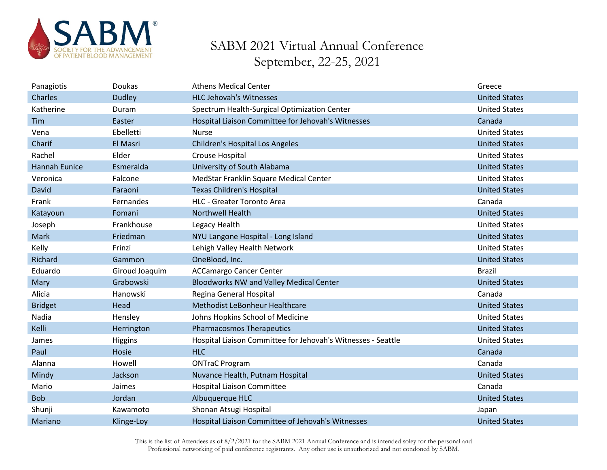

| Panagiotis           | Doukas         | <b>Athens Medical Center</b>                                 | Greece               |
|----------------------|----------------|--------------------------------------------------------------|----------------------|
| Charles              | <b>Dudley</b>  | <b>HLC Jehovah's Witnesses</b>                               | <b>United States</b> |
| Katherine            | Duram          | Spectrum Health-Surgical Optimization Center                 | <b>United States</b> |
| Tim                  | Easter         | Hospital Liaison Committee for Jehovah's Witnesses           | Canada               |
| Vena                 | Ebelletti      | <b>Nurse</b>                                                 | <b>United States</b> |
| Charif               | El Masri       | <b>Children's Hospital Los Angeles</b>                       | <b>United States</b> |
| Rachel               | Elder          | Crouse Hospital                                              | <b>United States</b> |
| <b>Hannah Eunice</b> | Esmeralda      | University of South Alabama                                  | <b>United States</b> |
| Veronica             | Falcone        | MedStar Franklin Square Medical Center                       | <b>United States</b> |
| David                | Faraoni        | <b>Texas Children's Hospital</b>                             | <b>United States</b> |
| Frank                | Fernandes      | <b>HLC - Greater Toronto Area</b>                            | Canada               |
| Katayoun             | Fomani         | <b>Northwell Health</b>                                      | <b>United States</b> |
| Joseph               | Frankhouse     | Legacy Health                                                | <b>United States</b> |
| Mark                 | Friedman       | NYU Langone Hospital - Long Island                           | <b>United States</b> |
| Kelly                | Frinzi         | Lehigh Valley Health Network                                 | <b>United States</b> |
| Richard              | Gammon         | OneBlood, Inc.                                               | <b>United States</b> |
| Eduardo              | Giroud Joaquim | <b>ACCamargo Cancer Center</b>                               | <b>Brazil</b>        |
| Mary                 | Grabowski      | <b>Bloodworks NW and Valley Medical Center</b>               | <b>United States</b> |
| Alicia               | Hanowski       | Regina General Hospital                                      | Canada               |
| <b>Bridget</b>       | Head           | Methodist LeBonheur Healthcare                               | <b>United States</b> |
| Nadia                | Hensley        | Johns Hopkins School of Medicine                             | <b>United States</b> |
| Kelli                | Herrington     | <b>Pharmacosmos Therapeutics</b>                             | <b>United States</b> |
| James                | <b>Higgins</b> | Hospital Liaison Committee for Jehovah's Witnesses - Seattle | <b>United States</b> |
| Paul                 | Hosie          | <b>HLC</b>                                                   | Canada               |
| Alanna               | Howell         | <b>ONTraC Program</b>                                        | Canada               |
| Mindy                | Jackson        | Nuvance Health, Putnam Hospital                              | <b>United States</b> |
| Mario                | Jaimes         | <b>Hospital Liaison Committee</b>                            | Canada               |
| <b>Bob</b>           | Jordan         | Albuquerque HLC                                              | <b>United States</b> |
| Shunji               | Kawamoto       | Shonan Atsugi Hospital                                       | Japan                |
| Mariano              | Klinge-Loy     | Hospital Liaison Committee of Jehovah's Witnesses            | <b>United States</b> |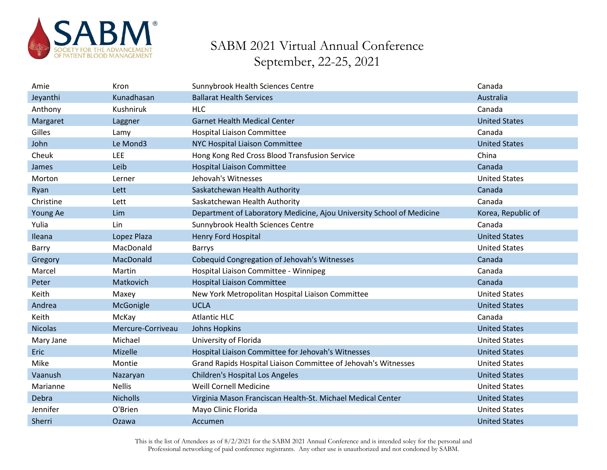

| Amie           | Kron              | Sunnybrook Health Sciences Centre                                     | Canada               |
|----------------|-------------------|-----------------------------------------------------------------------|----------------------|
| Jeyanthi       | Kunadhasan        | <b>Ballarat Health Services</b>                                       | Australia            |
| Anthony        | Kushniruk         | <b>HLC</b>                                                            | Canada               |
| Margaret       | Laggner           | <b>Garnet Health Medical Center</b>                                   | <b>United States</b> |
| Gilles         | Lamy              | <b>Hospital Liaison Committee</b>                                     | Canada               |
| John           | Le Mond3          | NYC Hospital Liaison Committee                                        | <b>United States</b> |
| Cheuk          | LEE               | Hong Kong Red Cross Blood Transfusion Service                         | China                |
| James          | Leib              | <b>Hospital Liaison Committee</b>                                     | Canada               |
| Morton         | Lerner            | Jehovah's Witnesses                                                   | <b>United States</b> |
| Ryan           | Lett              | Saskatchewan Health Authority                                         | Canada               |
| Christine      | Lett              | Saskatchewan Health Authority                                         | Canada               |
| Young Ae       | Lim               | Department of Laboratory Medicine, Ajou University School of Medicine | Korea, Republic of   |
| Yulia          | Lin               | Sunnybrook Health Sciences Centre                                     | Canada               |
| Ileana         | Lopez Plaza       | <b>Henry Ford Hospital</b>                                            | <b>United States</b> |
| Barry          | MacDonald         | Barrys                                                                | <b>United States</b> |
| Gregory        | MacDonald         | Cobequid Congregation of Jehovah's Witnesses                          | Canada               |
| Marcel         | Martin            | Hospital Liaison Committee - Winnipeg                                 | Canada               |
| Peter          | Matkovich         | <b>Hospital Liaison Committee</b>                                     | Canada               |
| Keith          | Maxey             | New York Metropolitan Hospital Liaison Committee                      | <b>United States</b> |
| Andrea         | McGonigle         | <b>UCLA</b>                                                           | <b>United States</b> |
| Keith          | McKay             | <b>Atlantic HLC</b>                                                   | Canada               |
| <b>Nicolas</b> | Mercure-Corriveau | <b>Johns Hopkins</b>                                                  | <b>United States</b> |
| Mary Jane      | Michael           | University of Florida                                                 | <b>United States</b> |
| Eric           | Mizelle           | Hospital Liaison Committee for Jehovah's Witnesses                    | <b>United States</b> |
| Mike           | Montie            | Grand Rapids Hospital Liaison Committee of Jehovah's Witnesses        | <b>United States</b> |
| Vaanush        | Nazaryan          | <b>Children's Hospital Los Angeles</b>                                | <b>United States</b> |
| Marianne       | <b>Nellis</b>     | <b>Weill Cornell Medicine</b>                                         | <b>United States</b> |
| Debra          | <b>Nicholls</b>   | Virginia Mason Franciscan Health-St. Michael Medical Center           | <b>United States</b> |
| Jennifer       | O'Brien           | Mayo Clinic Florida                                                   | <b>United States</b> |
| Sherri         | Ozawa             | Accumen                                                               | <b>United States</b> |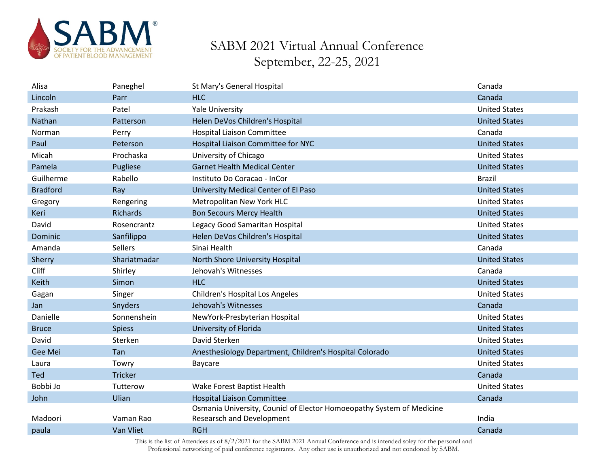

| Alisa           | Paneghel       | St Mary's General Hospital                                            | Canada               |
|-----------------|----------------|-----------------------------------------------------------------------|----------------------|
| Lincoln         | Parr           | <b>HLC</b>                                                            | Canada               |
| Prakash         | Patel          | Yale University                                                       | <b>United States</b> |
| Nathan          | Patterson      | Helen DeVos Children's Hospital                                       | <b>United States</b> |
| Norman          | Perry          | <b>Hospital Liaison Committee</b>                                     | Canada               |
| Paul            | Peterson       | Hospital Liaison Committee for NYC                                    | <b>United States</b> |
| Micah           | Prochaska      | University of Chicago                                                 | <b>United States</b> |
| Pamela          | Pugliese       | <b>Garnet Health Medical Center</b>                                   | <b>United States</b> |
| Guilherme       | Rabello        | Instituto Do Coracao - InCor                                          | <b>Brazil</b>        |
| <b>Bradford</b> | Ray            | University Medical Center of El Paso                                  | <b>United States</b> |
| Gregory         | Rengering      | Metropolitan New York HLC                                             | <b>United States</b> |
| Keri            | Richards       | <b>Bon Secours Mercy Health</b>                                       | <b>United States</b> |
| David           | Rosencrantz    | Legacy Good Samaritan Hospital                                        | <b>United States</b> |
| Dominic         | Sanfilippo     | Helen DeVos Children's Hospital                                       | <b>United States</b> |
| Amanda          | <b>Sellers</b> | Sinai Health                                                          | Canada               |
| Sherry          | Shariatmadar   | North Shore University Hospital                                       | <b>United States</b> |
| Cliff           | Shirley        | Jehovah's Witnesses                                                   | Canada               |
| Keith           | Simon          | <b>HLC</b>                                                            | <b>United States</b> |
| Gagan           | Singer         | Children's Hospital Los Angeles                                       | <b>United States</b> |
| Jan             | Snyders        | Jehovah's Witnesses                                                   | Canada               |
| Danielle        | Sonnenshein    | NewYork-Presbyterian Hospital                                         | <b>United States</b> |
| <b>Bruce</b>    | <b>Spiess</b>  | University of Florida                                                 | <b>United States</b> |
| David           | Sterken        | David Sterken                                                         | <b>United States</b> |
| Gee Mei         | Tan            | Anesthesiology Department, Children's Hospital Colorado               | <b>United States</b> |
| Laura           | Towry          | Baycare                                                               | <b>United States</b> |
| Ted             | Tricker        |                                                                       | Canada               |
| Bobbi Jo        | Tutterow       | Wake Forest Baptist Health                                            | <b>United States</b> |
| John            | Ulian          | <b>Hospital Liaison Committee</b>                                     | Canada               |
|                 |                | Osmania University, Counicl of Elector Homoeopathy System of Medicine |                      |
| Madoori         | Vaman Rao      | <b>Researsch and Development</b>                                      | India                |
| paula           | Van Vliet      | <b>RGH</b>                                                            | Canada               |